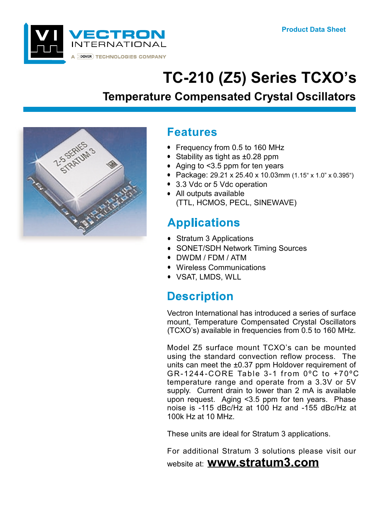

# TC-210 (Z5) Series TCXO's

### **Temperature Compensated Crystal Oscillators**



### **Features**

- Frequency from 0.5 to 160 MHz
- Stability as tight as ±0.28 ppm
- Aging to  $<$ 3.5 ppm for ten years
- Package: 29.21 x 25.40 x 10.03mm (1.15" x 1.0" x 0.395")
- 3.3 Vdc or 5 Vdc operation
- All outputs available (TTL, HCMOS, PECL, SINEWAVE)

## **Applications**

- Stratum 3 Applications
- SONET/SDH Network Timing Sources
- DWDM / FDM / ATM
- Wireless Communications
- VSAT, LMDS, WLL

### **Description**

Vectron International has introduced a series of surface mount, Temperature Compensated Crystal Oscillators (TCXO's) available in frequencies from 0.5 to 160 MHz.

Model Z5 surface mount TCXO's can be mounted using the standard convection reflow process. The units can meet the  $\pm 0.37$  ppm Holdover requirement of GR-1244-CORE Table 3-1 from  $0^{\circ}$ C to +70 $^{\circ}$ C temperature range and operate from a 3.3V or 5V supply. Current drain to lower than 2 mA is available upon request. Aging <3.5 ppm for ten years. Phase noise is -115 dBc/Hz at 100 Hz and -155 dBc/Hz at 100k Hz at 10 MHz.

These units are ideal for Stratum 3 applications.

For additional Stratum 3 solutions please visit our

website at: **www.stratum3.com**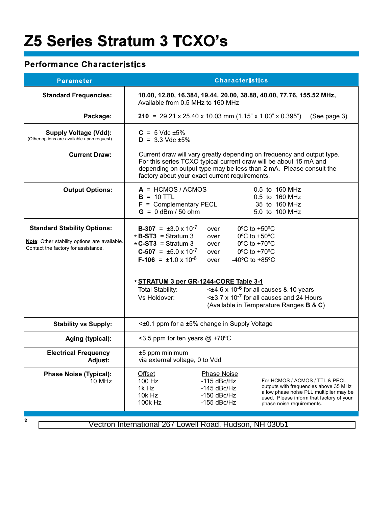## **Z5 Series Stratum 3 TCXO's**

#### **Performance Characteristics**

| <b>Parameter</b>                                                                                                          | <b>Characteristics</b>                                                                                                                                                                                                                                                                                                                                                                                                                                                                                                                                                                                                   |  |  |
|---------------------------------------------------------------------------------------------------------------------------|--------------------------------------------------------------------------------------------------------------------------------------------------------------------------------------------------------------------------------------------------------------------------------------------------------------------------------------------------------------------------------------------------------------------------------------------------------------------------------------------------------------------------------------------------------------------------------------------------------------------------|--|--|
| <b>Standard Frequencies:</b>                                                                                              | 10.00, 12.80, 16.384, 19.44, 20.00, 38.88, 40.00, 77.76, 155.52 MHz,<br>Available from 0.5 MHz to 160 MHz                                                                                                                                                                                                                                                                                                                                                                                                                                                                                                                |  |  |
| Package:                                                                                                                  | 210 = 29.21 x 25.40 x 10.03 mm (1.15" x 1.00" x 0.395")<br>(See page 3)                                                                                                                                                                                                                                                                                                                                                                                                                                                                                                                                                  |  |  |
| <b>Supply Voltage (Vdd):</b><br>(Other options are available upon request)                                                | $C = 5$ Vdc $\pm 5\%$<br>$D = 3.3$ Vdc $\pm 5\%$                                                                                                                                                                                                                                                                                                                                                                                                                                                                                                                                                                         |  |  |
| <b>Current Draw:</b>                                                                                                      | Current draw will vary greatly depending on frequency and output type.<br>For this series TCXO typical current draw will be about 15 mA and<br>depending on output type may be less than 2 mA. Please consult the<br>factory about your exact current requirements.                                                                                                                                                                                                                                                                                                                                                      |  |  |
| <b>Output Options:</b>                                                                                                    | $A =$ HCMOS / ACMOS<br>0.5 to 160 MHz<br>$B = 10$ TTL<br>0.5 to 160 MHz<br>$F =$ Complementary PECL<br>35 to 160 MHz<br>$G = 0$ dBm / 50 ohm<br>5.0 to 100 MHz                                                                                                                                                                                                                                                                                                                                                                                                                                                           |  |  |
| <b>Standard Stability Options:</b><br>Note: Other stability options are available.<br>Contact the factory for assistance. | <b>B-307</b> = $\pm 3.0 \times 10^{-7}$<br>$0^{\circ}$ C to +50 $^{\circ}$ C<br>over<br>$*B-ST3 = Stratum 3$<br>0°C to +50°C<br>over<br>$\star$ C-ST3 = Stratum 3<br>$0^{\circ}$ C to +70 $^{\circ}$ C<br>over<br>$C-507 = \pm 5.0 \times 10^{-7}$<br>0°C to +70°C<br>over<br>$F-106 = \pm 1.0 \times 10^{-6}$<br>-40 $^{\circ}$ C to +85 $^{\circ}$ C<br>over<br>* STRATUM 3 per GR-1244-CORE Table 3-1<br>$\leq$ ±4.6 x 10 <sup>-6</sup> for all causes & 10 years<br><b>Total Stability:</b><br>$\leq$ ±3.7 x 10 <sup>-7</sup> for all causes and 24 Hours<br>Vs Holdover:<br>(Available in Temperature Ranges B & C) |  |  |
| <b>Stability vs Supply:</b>                                                                                               | <±0.1 ppm for a ±5% change in Supply Voltage                                                                                                                                                                                                                                                                                                                                                                                                                                                                                                                                                                             |  |  |
| Aging (typical):                                                                                                          | <3.5 ppm for ten years $@$ +70 °C                                                                                                                                                                                                                                                                                                                                                                                                                                                                                                                                                                                        |  |  |
| <b>Electrical Frequency</b><br>Adjust:                                                                                    | ±5 ppm minimum<br>via external voltage, 0 to Vdd                                                                                                                                                                                                                                                                                                                                                                                                                                                                                                                                                                         |  |  |
| <b>Phase Noise (Typical):</b><br>10 MHz                                                                                   | <b>Offset</b><br><b>Phase Noise</b><br>$-115$ dBc/Hz<br>100 Hz<br>For HCMOS / ACMOS / TTL & PECL<br>outputs with frequencies above 35 MHz<br>1k Hz<br>$-145$ dBc/Hz<br>a low phase noise PLL multiplier may be<br>10k Hz<br>$-150$ dBc/Hz<br>used. Please inform that factory of your<br>100k Hz<br>$-155$ dBc/Hz<br>phase noise requirements.                                                                                                                                                                                                                                                                           |  |  |
| $\mathbf{2}$                                                                                                              | Vectron International 267 Lowell Road, Hudson, NH 03051                                                                                                                                                                                                                                                                                                                                                                                                                                                                                                                                                                  |  |  |

Vectron International 267 Lowell Road, Hudson, NH 03051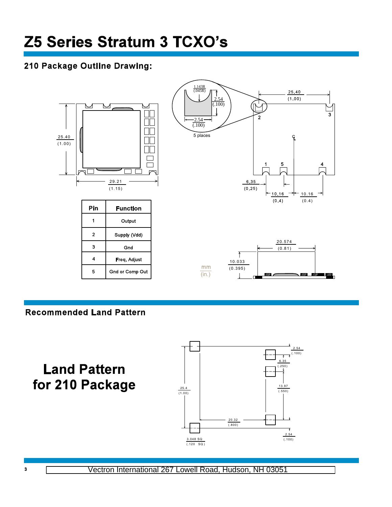#### 210 Package Outline Drawing:



#### **Recommended Land Pattern**

**Land Pattern** for 210 Package

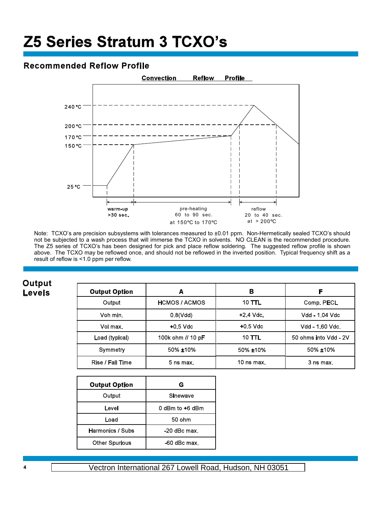## **Z5 Series Stratum 3 TCXO's**

#### **Recommended Reflow Profile**



Note: TCXO's are precision subsystems with tolerances measured to ±0.01 ppm. Non-Hermetically sealed TCXO's should not be subjected to a wash process that will immerse the TCXO in solvents. NO CLEAN is the recommended procedure. The Z5 series of TCXO's has been designed for pick and place reflow soldering. The suggested reflow profile is shown above. The TCXO may be reflowed once, and should not be reflowed in the inverted position. Typical frequency shift as a result of reflow is <1.0 ppm per reflow.

**Output Levels** 

| <b>Output Option</b> | A                    | в             | F                     |
|----------------------|----------------------|---------------|-----------------------|
| Output               | <b>HCMOS / ACMOS</b> | <b>10 TTL</b> | Comp. PECL            |
| Voh min.             | 0.8(Vdd)             | $+2.4$ Vdc.   | Vdd - 1.04 Vdc        |
| Vol max.             | $+0.5$ Vdc           | $+0.5$ Vdc    | Vdd - 1.60 Vdc.       |
| Load (typical)       | 100k ohm // 10 pF    | <b>10 TTL</b> | 50 ohms into Vdd - 2V |
| Symmetry             | 50% ±10%             | 50% ±10%      | 50% ±10%              |
| Rise / Fall Time     | $5$ ns max.          | 10 $ns$ max.  | 3 ns max.             |

| <b>Output Option</b>  | G               |  |
|-----------------------|-----------------|--|
| Output                | Sinewave        |  |
| Level                 | 0 dBm to +6 dBm |  |
| Load                  | 50 ohm          |  |
| Harmonics / Subs      | $-20$ dBc max.  |  |
| <b>Other Spurious</b> | -60 dBc max.    |  |